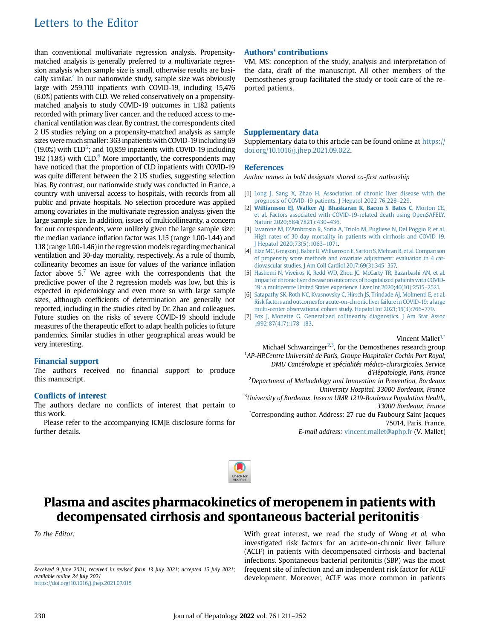# Letters to the Editor

than conventional multivariate regression analysis. Propensitymatched analysis is generally preferred to a multivariate regression analysis when sample size is small, otherwise results are basically similar.<sup>4</sup> In our nationwide study, sample size was obviously large with 259,110 inpatients with COVID-19, including 15,476 (6.0%) patients with CLD. We relied conservatively on a propensitymatched analysis to study COVID-19 outcomes in 1,182 patients recorded with primary liver cancer, and the reduced access to mechanical ventilation was clear. By contrast, the correspondents cited 2 US studies relying on a propensity-matched analysis as sample sizes were much smaller: 363 inpatients with COVID-19 including 69 (19.0%) with CLD<sup>5</sup>; and 10,859 inpatients with COVID-19 including 192 (1.8%) with CLD. $<sup>6</sup>$  $<sup>6</sup>$  $<sup>6</sup>$  More importantly, the correspondents may</sup> have noticed that the proportion of CLD inpatients with COVID-19 was quite different between the 2 US studies, suggesting selection bias. By contrast, our nationwide study was conducted in France, a country with universal access to hospitals, with records from all public and private hospitals. No selection procedure was applied among covariates in the multivariate regression analysis given the large sample size. In addition, issues of multicollinearity, a concern for our correspondents, were unlikely given the large sample size: the median variance inflation factor was 1.15 (range 1.00-1.44) and 1.18 (range 1.00-1.46) in the regression models regarding mechanical ventilation and 30-day mortality, respectively. As a rule of thumb, collinearity becomes an issue for values of the variance inflation factor above  $5.7$  $5.7$  We agree with the correspondents that the predictive power of the 2 regression models was low, but this is expected in epidemiology and even more so with large sample sizes, although coefficients of determination are generally not reported, including in the studies cited by Dr. Zhao and colleagues. Future studies on the risks of severe COVID-19 should include measures of the therapeutic effort to adapt health policies to future pandemics. Similar studies in other geographical areas would be very interesting.

# Financial support

The authors received no financial support to produce this manuscript.

## Conflicts of interest

The authors declare no conflicts of interest that pertain to this work.

Please refer to the accompanying ICMJE disclosure forms for further details.

## Authors' contributions

VM, MS: conception of the study, analysis and interpretation of the data, draft of the manuscript. All other members of the Demosthenes group facilitated the study or took care of the reported patients.

## Supplementary data

Supplementary data to this article can be found online at [https://](https://doi.org/10.1016/j.jhep.2021.09.022) [doi.org/10.1016/j.jhep.2021.09.022.](https://doi.org/10.1016/j.jhep.2021.09.022)

### **References**

Author names in bold designate shared co-first authorship

- [1] [Long J, Sang X, Zhao H. Association of chronic liver disease with the](http://refhub.elsevier.com/S0168-8278(21)01914-0/sref1) [prognosis of COVID-19 patients. J Hepatol 2022;76:228](http://refhub.elsevier.com/S0168-8278(21)01914-0/sref1)–229.
- [2] [Williamson EJ](http://refhub.elsevier.com/S0168-8278(21)01914-0/sref2), Walker AJ, Bhaskaran K, Bacon S, Bates C, Morton CE, [et al. Factors associated with COVID-19-related death using OpenSAFELY.](http://refhub.elsevier.com/S0168-8278(21)01914-0/sref2) [Nature 2020;584\(7821\):430](http://refhub.elsevier.com/S0168-8278(21)01914-0/sref2)–436.
- <span id="page-0-0"></span>[3] Iavarone M, D'[Ambrosio R, Soria A, Triolo M, Pugliese N, Del Poggio P, et al.](http://refhub.elsevier.com/S0168-8278(21)01914-0/sref3) [High rates of 30-day mortality in patients with cirrhosis and COVID-19.](http://refhub.elsevier.com/S0168-8278(21)01914-0/sref3) [J Hepatol 2020;73\(5\):1063](http://refhub.elsevier.com/S0168-8278(21)01914-0/sref3)–1071.
- <span id="page-0-1"></span>[4] Elze MC, Gregson J, Baber U, Williamson E, Sartori S, Mehran R, et al. Comparison [of propensity score methods and covariate adjustment: evaluation in 4 car](http://refhub.elsevier.com/S0168-8278(21)01914-0/sref4)[diovascular studies. J Am Coll Cardiol 2017;69\(3\):345](http://refhub.elsevier.com/S0168-8278(21)01914-0/sref4)–357.
- <span id="page-0-2"></span>[5] [Hashemi N, Viveiros K, Redd WD, Zhou JC, McCarty TR, Bazarbashi AN, et al.](http://refhub.elsevier.com/S0168-8278(21)01914-0/sref5) Impact of chronic liver disease on outcomes of hospitalized patients with COVID-[19: a multicentre United States experience. Liver Int 2020;40\(10\):2515](http://refhub.elsevier.com/S0168-8278(21)01914-0/sref5)–2521.
- <span id="page-0-3"></span>[6] [Satapathy SK, Roth NC, Kvasnovsky C, Hirsch JS, Trindade AJ, Molmenti E, et al.](http://refhub.elsevier.com/S0168-8278(21)01914-0/sref6) [Risk factors and outcomes for acute-on-chronicliver failure in COVID-19: a large](http://refhub.elsevier.com/S0168-8278(21)01914-0/sref6) [multi-center observational cohort study. Hepatol Int 2021;15\(3\):766](http://refhub.elsevier.com/S0168-8278(21)01914-0/sref6)–779.
- [7] [Fox J, Monette G. Generalized collinearity diagnostics. J Am Stat Assoc](http://refhub.elsevier.com/S0168-8278(21)01914-0/sref7) [1992;87\(417\):178](http://refhub.elsevier.com/S0168-8278(21)01914-0/sref7)–183.

### Vincent Mallet<sup>1,\*</sup>

Michaël Schwarzinger $^{2,3}$ , for the Demosthenes research group <sup>1</sup>AP-HP.Centre Université de Paris, Groupe Hospitalier Cochin Port Royal, DMU Cancérologie et spécialités médico-chirurgicales, Service

d'Hépatologie, Paris, France

<sup>2</sup>Department of Methodology and Innovation in Prevention, Bordeaux University Hospital, 33000 Bordeaux, France

<sup>3</sup>University of Bordeaux, Inserm UMR 1219-Bordeaux Population Health, 33000 Bordeaux, France

\* Corresponding author. Address: 27 rue du Faubourg Saint Jacques 75014, Paris. France.

E-mail address: [vincent.mallet@aphp.fr](mailto:vincent.mallet@aphp.fr) (V. Mallet)



# Plasma and ascites pharmacokinetics of meropenem in patients with decompensated cirrhosis and spontaneous bacterial peritonitis

To the Editor: With great interest, we read the study of Wong et al. who investigated risk factors for an acute-on-chronic liver failure (ACLF) in patients with decompensated cirrhosis and bacterial infections. Spontaneous bacterial peritonitis (SBP) was the most frequent site of infection and an independent risk factor for ACLF development. Moreover, ACLF was more common in patients

Received 9 June 2021; received in revised form 13 July 2021; accepted 15 July 2021; available online 24 July 2021 <https://doi.org/10.1016/j.jhep.2021.07.015>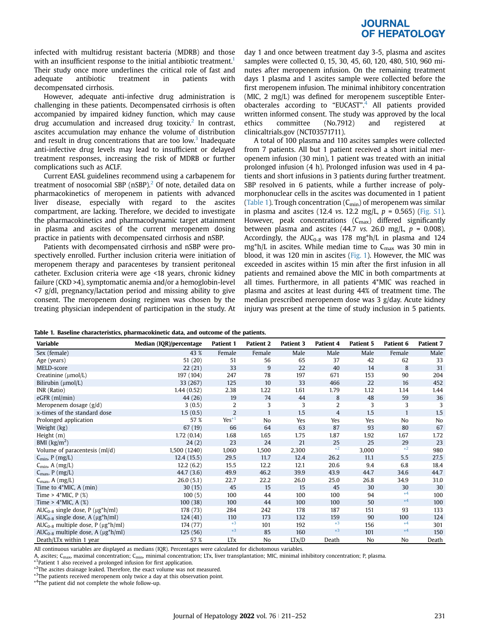# **JOURNAL OF HEPATOLOGY**

infected with multidrug resistant bacteria (MDRB) and those with an insufficient response to the initial antibiotic treatment.<sup>[1](#page-3-0)</sup> Their study once more underlines the critical role of fast and adequate antibiotic treatment in patients with decompensated cirrhosis.

However, adequate anti-infective drug administration is challenging in these patients. Decompensated cirrhosis is often accompanied by impaired kidney function, which may cause drug accumulation and increased drug toxicity.<sup>2</sup> In contrast, ascites accumulation may enhance the volume of distribution and result in drug concentrations that are too low.<sup>3</sup> Inadequate anti-infective drug levels may lead to insufficient or delayed treatment responses, increasing the risk of MDRB or further complications such as ACLF.

Current EASL guidelines recommend using a carbapenem for treatment of nosocomial SBP ( $nSBP$ ).<sup>[2](#page-3-1)</sup> Of note, detailed data on pharmacokinetics of meropenem in patients with advanced liver disease, especially with regard to the ascites compartment, are lacking. Therefore, we decided to investigate the pharmacokinetics and pharmacodynamic target attainment in plasma and ascites of the current meropenem dosing practice in patients with decompensated cirrhosis and nSBP.

Patients with decompensated cirrhosis and nSBP were prospectively enrolled. Further inclusion criteria were initiation of meropenem therapy and paracenteses by transient peritoneal catheter. Exclusion criteria were age <18 years, chronic kidney failure (CKD >4), symptomatic anemia and/or a hemoglobin-level <7 g/dl, pregnancy/lactation period and missing ability to give consent. The meropenem dosing regimen was chosen by the treating physician independent of participation in the study. At

day 1 and once between treatment day 3-5, plasma and ascites samples were collected 0, 15, 30, 45, 60, 120, 480, 510, 960 minutes after meropenem infusion. On the remaining treatment days 1 plasma and 1 ascites sample were collected before the first meropenem infusion. The minimal inhibitory concentration (MIC, 2 mg/L) was defined for meropenem susceptible Enter-obacterales according to "EUCAST".<sup>[4](#page-3-3)</sup> All patients provided written informed consent. The study was approved by the local ethics committee (No.7912) and registered at clinicaltrials.gov (NCT03571711).

A total of 100 plasma and 110 ascites samples were collected from 7 patients. All but 1 patient received a short initial meropenem infusion (30 min), 1 patient was treated with an initial prolonged infusion (4 h). Prolonged infusion was used in 4 patients and short infusions in 3 patients during further treatment. SBP resolved in 6 patients, while a further increase of polymorphonuclear cells in the ascites was documented in 1 patient [\(Table 1\)](#page-1-0). Trough concentration  $(C_{\text{min}})$  of meropenem was similar in plasma and ascites (12.4 vs. 12.2 mg/L,  $p = 0.565$ ) (Fig. S1). However, peak concentrations  $(C_{\text{max}})$  differed significantly between plasma and ascites (44.7 vs. 26.0 mg/L,  $p = 0.008$ ). Accordingly, the AUC<sub>0-8</sub> was 178 mg\*h/L in plasma and 124  $mg^*h/L$  in ascites. While median time to  $C_{\text{max}}$  was 30 min in blood, it was 120 min in ascites [\(Fig. 1\)](#page-2-0). However, the MIC was exceeded in ascites within 15 min after the first infusion in all patients and remained above the MIC in both compartments at all times. Furthermore, in all patients 4\*MIC was reached in plasma and ascites at least during 44% of treatment time. The median prescribed meropenem dose was 3 g/day. Acute kidney injury was present at the time of study inclusion in 5 patients.

<span id="page-1-0"></span>

|  |  |  |  |  | Table 1. Baseline characteristics, pharmacokinetic data, and outcome of the patients. |
|--|--|--|--|--|---------------------------------------------------------------------------------------|
|--|--|--|--|--|---------------------------------------------------------------------------------------|

| Variable                                                         | Median (IQR)/percentage | <b>Patient 1</b> | Patient 2    | Patient 3 | Patient 4 | <b>Patient 5</b> | Patient 6    | Patient 7 |
|------------------------------------------------------------------|-------------------------|------------------|--------------|-----------|-----------|------------------|--------------|-----------|
| Sex (female)                                                     | 43 %                    | Female           | Female       | Male      | Male      | Male             | Female       | Male      |
| Age (years)                                                      | 51(20)                  | 51               | 56           | 65        | 37        | 42               | 62           | 33        |
| MELD-score                                                       | 22(21)                  | 33               | 9            | 22        | 40        | 14               | 8            | 31        |
| Creatinine (µmol/L)                                              | 197 (104)               | 247              | 78           | 197       | 671       | 153              | 90           | 204       |
| Bilirubin (µmol/L)                                               | 33 (267)                | 125              | 10           | 33        | 466       | 22               | 16           | 452       |
| INR (Ratio)                                                      | 1.44(0.52)              | 2.38             | 1.22         | 1.61      | 1.79      | 1.12             | 1.14         | 1.44      |
| $eGFR$ (ml/min)                                                  | 44 (26)                 | 19               | 74           | 44        | 8         | 48               | 59           | 36        |
| Meropenem dosage $(g/d)$                                         | 3(0.5)                  | $\overline{2}$   | 3            | 3         | 2         | 3                | 3            | 3         |
| x-times of the standard dose                                     | 1.5(0.5)                | 2                | $\mathbf{1}$ | 1.5       | 4         | 1.5              | $\mathbf{1}$ | 1.5       |
| Prolonged application                                            | 57 %                    | $Yes*1$          | No           | Yes       | Yes       | Yes              | No           | No        |
| Weight (kg)                                                      | 67(19)                  | 66               | 64           | 63        | 87        | 93               | 80           | 67        |
| Height (m)                                                       | 1.72(0.14)              | 1.68             | 1.65         | 1.75      | 1.87      | 1.92             | 1.67         | 1.72      |
| BMI $\frac{\text{kg}}{\text{m}^2}$                               | 24(2)                   | 23               | 24           | 21        | 25        | 25               | 29           | 23        |
| Volume of paracentesis (ml/d)                                    | 1,500 (1240)            | 1,060            | 1,500        | 2,300     | $*2$      | 3,000            | $*2$         | 980       |
| $C_{\text{min}}$ , P (mg/L)                                      | 12.4(15.5)              | 29.5             | 11.7         | 12.4      | 26.2      | 11.1             | 5.5          | 27.5      |
| $C_{\text{min}}$ , A (mg/L)                                      | 12.2(6.2)               | 15.5             | 12.2         | 12.1      | 20.6      | 9.4              | 6.8          | 18.4      |
| $C_{\text{max}}$ , P (mg/L)                                      | 44.7(3.6)               | 49.9             | 46.2         | 39.9      | 43.9      | 44.7             | 34.6         | 44.7      |
| $C_{\text{max}}$ , A (mg/L)                                      | 26.0(5.1)               | 22.7             | 22.2         | 26.0      | 25.0      | 26.8             | 34.9         | 31.0      |
| Time to $4*MIC$ , A (min)                                        | 30(15)                  | 45               | 15           | 15        | 45        | 30               | 30           | 30        |
| Time > $4*MIC, P (\%)$                                           | 100(5)                  | 100              | 44           | 100       | 100       | 94               | $*4$         | 100       |
| Time > $4*MIC, A (\%)$                                           | 100(38)                 | 100              | 44           | 100       | 100       | 50               | $*4$         | 100       |
| AUC <sub>0-8</sub> single dose, $P(\mu g^* h/ml)$                | 178 (73)                | 284              | 242          | 178       | 187       | 151              | 93           | 133       |
| $AUC_{0-8}$ single dose, A ( $\mu$ g*h/ml)                       | 124(41)                 | 110              | 173          | 132       | 159       | 90               | 100          | 124       |
| $AUC_{0-8}$ multiple dose, P ( $\mu$ g*h/ml)                     | 174 (77)                | $*3$             | 101          | 192       | $*3$      | 156              | $*4$         | 301       |
| AUC <sub>0-8</sub> multiple dose, A ( $\mu$ g <sup>*</sup> h/ml) | 125(56)                 | $*3$             | 85           | 160       | $*3$      | 101              | $*4$         | 150       |
| Death/LTx within 1 year                                          | 57 %                    | <b>LTx</b>       | No           | LTx/D     | Death     | N <sub>0</sub>   | No           | Death     |

All continuous variables are displayed as medians (IQR). Percentages were calculated for dichotomous variables.

A, ascites; C<sub>max</sub>, maximal concentration; C<sub>min</sub>, minimal concentration; LTx, liver transplantation; MIC, minimal inhibitory concentration; P, plasma.<br>\*<sup>1</sup>Patient 1 also received a prolonged infusion for first application

<span id="page-1-1"></span>

<span id="page-1-2"></span>\*<sup>2</sup>The ascites drainage leaked. Therefore, the exact volume was not measured.

<span id="page-1-4"></span>\*<sup>3</sup>The patients received meropenem only twice a day at this observation point.

<span id="page-1-3"></span>\* 4 The patient did not complete the whole follow-up.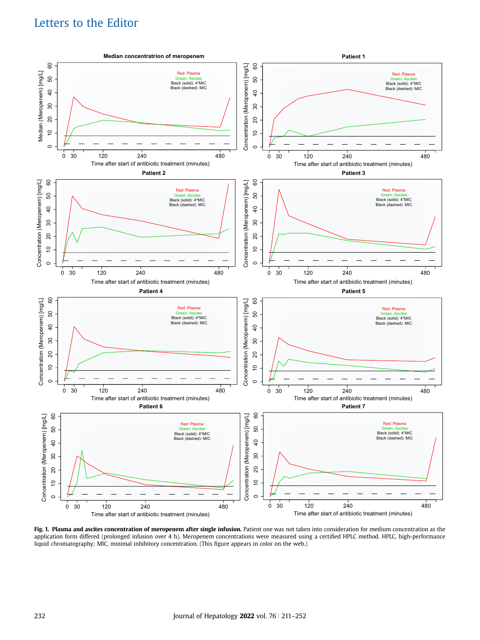# Letters to the Editor

<span id="page-2-0"></span>

Fig. 1. Plasma and ascites concentration of meropenem after single infusion. Patient one was not taken into consideration for medium concentration as the application form differed (prolonged infusion over 4 h). Meropenem concentrations were measured using a certified HPLC method. HPLC, high-performance liquid chromatography; MIC, minimal inhibitory concentration. (This figure appears in color on the web.)